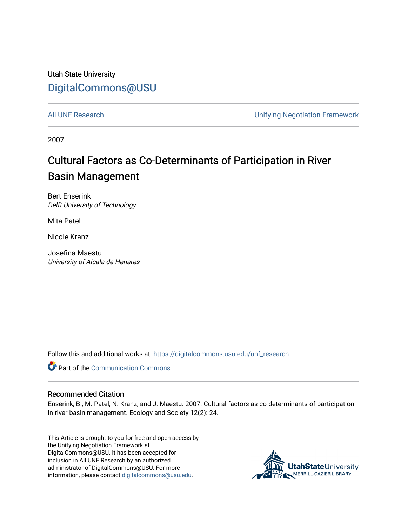# Utah State University [DigitalCommons@USU](https://digitalcommons.usu.edu/)

[All UNF Research](https://digitalcommons.usu.edu/unf_research) **All UNF Research Unifying Negotiation Framework** 

2007

# Cultural Factors as Co-Determinants of Participation in River Basin Management

Bert Enserink Delft University of Technology

Mita Patel

Nicole Kranz

Josefina Maestu University of Alcala de Henares

Follow this and additional works at: [https://digitalcommons.usu.edu/unf\\_research](https://digitalcommons.usu.edu/unf_research?utm_source=digitalcommons.usu.edu%2Funf_research%2F24&utm_medium=PDF&utm_campaign=PDFCoverPages) 



#### Recommended Citation

Enserink, B., M. Patel, N. Kranz, and J. Maestu. 2007. Cultural factors as co-determinants of participation in river basin management. Ecology and Society 12(2): 24.

This Article is brought to you for free and open access by the Unifying Negotiation Framework at DigitalCommons@USU. It has been accepted for inclusion in All UNF Research by an authorized administrator of DigitalCommons@USU. For more information, please contact [digitalcommons@usu.edu](mailto:digitalcommons@usu.edu).

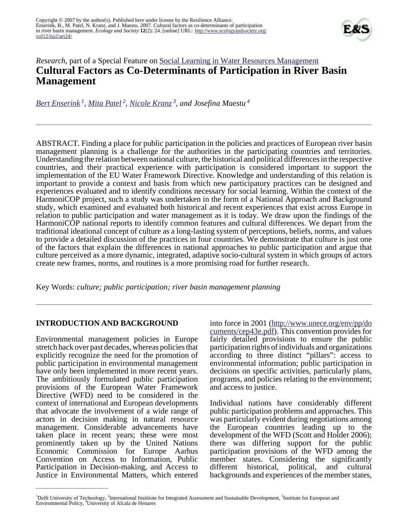

# *Research*, part of a Special Feature on **Social Learning in Water Resources Management Cultural Factors as Co-Determinants of Participation in River Basin Management**

*[Bert Enserink](mailto:b.enserink@tudelft.nl)<sup>1</sup> , [Mita Patel](mailto:mita.patel@brighton-hove.gov.uk)<sup>2</sup> , [Nicole Kranz](mailto:kranz@ecologic.de)<sup>3</sup>, and Josefina Maestu<sup>4</sup>*

ABSTRACT. Finding a place for public participation in the policies and practices of European river basin management planning is a challenge for the authorities in the participating countries and territories. Understanding the relation between national culture, the historical and political differences in the respective countries, and their practical experience with participation is considered important to support the implementation of the EU Water Framework Directive. Knowledge and understanding of this relation is important to provide a context and basis from which new participatory practices can be designed and experiences evaluated and to identify conditions necessary for social learning. Within the context of the HarmoniCOP project, such a study was undertaken in the form of a National Approach and Background study, which examined and evaluated both historical and recent experiences that exist across Europe in relation to public participation and water management as it is today. We draw upon the findings of the HarmoniCOP national reports to identify common features and cultural differences. We depart from the traditional ideational concept of culture as a long-lasting system of perceptions, beliefs, norms, and values to provide a detailed discussion of the practices in four countries. We demonstrate that culture is just one of the factors that explain the differences in national approaches to public participation and argue that culture perceived as a more dynamic, integrated, adaptive socio-cultural system in which groups of actors create new frames, norms, and routines is a more promising road for further research.

Key Words: *culture; public participation; river basin management planning*

# **INTRODUCTION AND BACKGROUND**

Environmental management policies in Europe stretch back over past decades, whereas policies that explicitly recognize the need for the promotion of public participation in environmental management have only been implemented in more recent years. The ambitiously formulated public participation provisions of the European Water Framework Directive (WFD) need to be considered in the context of international and European developments that advocate the involvement of a wide range of actors in decision making in natural resource management. Considerable advancements have taken place in recent years; these were most prominently taken up by the United Nations Economic Commission for Europe Aarhus Convention on Access to Information, Public Participation in Decision-making, and Access to Justice in Environmental Matters, which entered

into force in 2001 ([http://www.unece.org/env/pp/do](http://www.unece.org/env/pp/documents/cep43e.pdf) [cuments/cep43e.pdf](http://www.unece.org/env/pp/documents/cep43e.pdf)). This convention provides for fairly detailed provisions to ensure the public participation rights of individuals and organizations according to three distinct "pillars": access to environmental information; public participation in decisions on specific activities, particularly plans, programs, and policies relating to the environment; and access to justice.

Individual nations have considerably different public participation problems and approaches. This was particularly evident during negotiations among the European countries leading up to the development of the WFD (Scott and Holder 2006); there was differing support for the public participation provisions of the WFD among the member states. Considering the significantly different historical, political, and cultural backgrounds and experiences of the member states,

<sup>&</sup>lt;sup>1</sup>Delft University of Technology, <sup>2</sup>International Insititute for Integrated Assessment and Sustainable Development, <sup>3</sup>Institute for European and Environmental Policy, <sup>4</sup>University of Alcala de Henares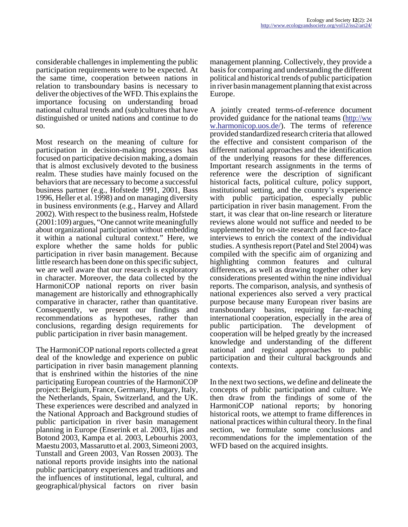considerable challenges in implementing the public participation requirements were to be expected. At the same time, cooperation between nations in relation to transboundary basins is necessary to deliver the objectives of the WFD. This explains the importance focusing on understanding broad national cultural trends and (sub)cultures that have distinguished or united nations and continue to do so.

Most research on the meaning of culture for participation in decision-making processes has focused on participative decision making, a domain that is almost exclusively devoted to the business realm. These studies have mainly focused on the behaviors that are necessary to become a successful business partner (e.g., Hofstede 1991, 2001, Bass 1996, Heller et al. 1998) and on managing diversity in business environments (e.g., Harvey and Allard 2002). With respect to the business realm, Hofstede (2001:109) argues, "One cannot write meaningfully about organizational participation without embedding it within a national cultural context." Here, we explore whether the same holds for public participation in river basin management. Because little research has been done on this specific subject, we are well aware that our research is exploratory in character. Moreover, the data collected by the HarmoniCOP national reports on river basin management are historically and ethnographically comparative in character, rather than quantitative. Consequently, we present our findings and recommendations as hypotheses, rather than conclusions, regarding design requirements for public participation in river basin management.

The HarmoniCOP national reports collected a great deal of the knowledge and experience on public participation in river basin management planning that is enshrined within the histories of the nine participating European countries of the HarmoniCOP project: Belgium, France, Germany, Hungary, Italy, the Netherlands, Spain, Switzerland, and the UK. These experiences were described and analyzed in the National Approach and Background studies of public participation in river basin management planning in Europe (Enserink et al. 2003, Iijas and Botond 2003, Kampa et al. 2003, Lebourhis 2003, Maestu 2003, Massarutto et al. 2003, Simeoni 2003, Tunstall and Green 2003, Van Rossen 2003). The national reports provide insights into the national public participatory experiences and traditions and the influences of institutional, legal, cultural, and geographical/physical factors on river basin

management planning. Collectively, they provide a basis for comparing and understanding the different political and historical trends of public participation in river basin management planning that exist across Europe.

A jointly created terms-of-reference document provided guidance for the national teams [\(http://ww](http://www.harmonicop.uos.de/) [w.harmonicop.uos.de/](http://www.harmonicop.uos.de/)). The terms of reference provided standardized research criteria that allowed the effective and consistent comparison of the different national approaches and the identification of the underlying reasons for these differences. Important research assignments in the terms of reference were the description of significant historical facts, political culture, policy support, institutional setting, and the country's experience with public participation, especially public participation in river basin management. From the start, it was clear that on-line research or literature reviews alone would not suffice and needed to be supplemented by on-site research and face-to-face interviews to enrich the context of the individual studies. A synthesis report (Patel and Stel 2004) was compiled with the specific aim of organizing and highlighting common features and cultural differences, as well as drawing together other key considerations presented within the nine individual reports. The comparison, analysis, and synthesis of national experiences also served a very practical purpose because many European river basins are transboundary basins, requiring far-reaching international cooperation, especially in the area of public participation. The development of cooperation will be helped greatly by the increased knowledge and understanding of the different national and regional approaches to public participation and their cultural backgrounds and contexts.

In the next two sections, we define and delineate the concepts of public participation and culture. We then draw from the findings of some of the HarmoniCOP national reports; by honoring historical roots, we attempt to frame differences in national practices within cultural theory. In the final section, we formulate some conclusions and recommendations for the implementation of the WFD based on the acquired insights.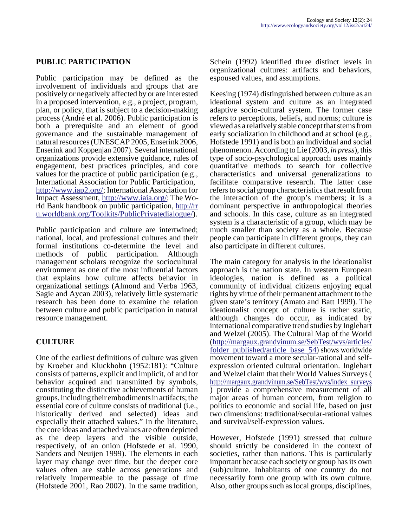## **PUBLIC PARTICIPATION**

Public participation may be defined as the involvement of individuals and groups that are positively or negatively affected by or are interested in a proposed intervention, e.g., a project, program, plan, or policy, that is subject to a decision-making process (André et al. 2006). Public participation is both a prerequisite and an element of good governance and the sustainable management of natural resources (UNESCAP 2005, Enserink 2006, Enserink and Koppenjan 2007). Several international organizations provide extensive guidance, rules of engagement, best practices principles, and core values for the practice of public participation (e.g., International Association for Public Participation, [http://www.iap2.org/;](http://www.iap2.org/) International Association for Impact Assessment, <http://www.iaia.org/>; The World Bank handbook on public participation, [http://rr](http://rru.worldbank.org/Toolkits/PublicPrivatedialogue/) [u.worldbank.org/Toolkits/PublicPrivatedialogue/](http://rru.worldbank.org/Toolkits/PublicPrivatedialogue/)).

Public participation and culture are intertwined; national, local, and professional cultures and their formal institutions co-determine the level and methods of public participation. Although management scholars recognize the sociocultural environment as one of the most influential factors that explains how culture affects behavior in organizational settings (Almond and Verba 1963, Sagie and Aycan 2003), relatively little systematic research has been done to examine the relation between culture and public participation in natural resource management.

# **CULTURE**

One of the earliest definitions of culture was given by Kroeber and Kluckhohn (1952:181): "Culture consists of patterns, explicit and implicit, of and for behavior acquired and transmitted by symbols, constituting the distinctive achievements of human groups, including their embodiments in artifacts; the essential core of culture consists of traditional (i.e., historically derived and selected) ideas and especially their attached values." In the literature, the core ideas and attached values are often depicted as the deep layers and the visible outside, respectively, of an onion (Hofstede et al. 1990, Sanders and Neuijen 1999). The elements in each layer may change over time, but the deeper core values often are stable across generations and relatively impermeable to the passage of time (Hofstede 2001, Rao 2002). In the same tradition,

Schein (1992) identified three distinct levels in organizational cultures: artifacts and behaviors, espoused values, and assumptions.

Keesing (1974) distinguished between culture as an ideational system and culture as an integrated adaptive socio-cultural system. The former case refers to perceptions, beliefs, and norms; culture is viewed as a relatively stable concept that stems from early socialization in childhood and at school (e.g., Hofstede 1991) and is both an individual and social phenomenon. According to Lie (2003, *in press*), this type of socio-psychological approach uses mainly quantitative methods to search for collective characteristics and universal generalizations to facilitate comparative research. The latter case refers to social group characteristics that result from the interaction of the group's members; it is a dominant perspective in anthropological theories and schools. In this case, culture as an integrated system is a characteristic of a group, which may be much smaller than society as a whole. Because people can participate in different groups, they can also participate in different cultures.

The main category for analysis in the ideationalist approach is the nation state. In western European ideologies, nation is defined as a political community of individual citizens enjoying equal rights by virtue of their permanent attachment to the given state's territory (Amato and Batt 1999). The ideationalist concept of culture is rather static, although changes do occur, as indicated by international comparative trend studies by Inglehart and Welzel (2005). The Cultural Map of the World ([http://margaux.grandvinum.se/SebTest/wvs/articles/](http://margaux.grandvinum.se/SebTest/wvs/articles/folder_published/article_base_54) [folder\\_published/article\\_base\\_54\)](http://margaux.grandvinum.se/SebTest/wvs/articles/folder_published/article_base_54) shows worldwide movement toward a more secular-rational and selfexpression oriented cultural orientation. Inglehart and Welzel claim that their World Values Surveys ( [http://margaux.grandvinum.se/SebTest/wvs/index\\_surveys](http://margaux.grandvinum.se/SebTest/wvs/index_surveys) ) provide a comprehensive measurement of all major areas of human concern, from religion to politics to economic and social life, based on just two dimensions: traditional/secular-rational values and survival/self-expression values.

However, Hofstede (1991) stressed that culture should strictly be considered in the context of societies, rather than nations. This is particularly important because each society or group has its own (sub)culture. Inhabitants of one country do not necessarily form one group with its own culture. Also, other groups such as local groups, disciplines,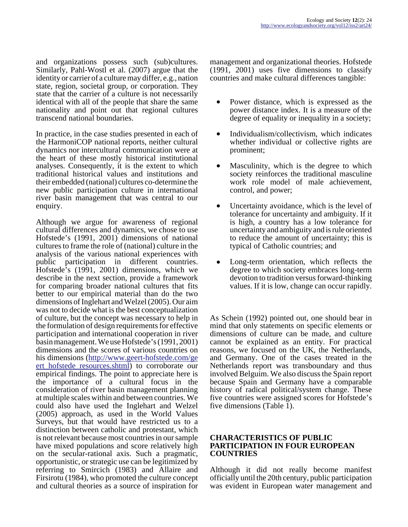and organizations possess such (sub)cultures. Similarly, Pahl-Wostl et al. (2007) argue that the identity or carrier of a culture may differ, e.g., nation state, region, societal group, or corporation. They state that the carrier of a culture is not necessarily identical with all of the people that share the same nationality and point out that regional cultures transcend national boundaries.

In practice, in the case studies presented in each of the HarmoniCOP national reports, neither cultural dynamics nor intercultural communication were at the heart of these mostly historical institutional analyses. Consequently, it is the extent to which traditional historical values and institutions and their embedded (national) cultures co-determine the new public participation culture in international river basin management that was central to our enquiry.

Although we argue for awareness of regional cultural differences and dynamics, we chose to use Hofstede's (1991, 2001) dimensions of national cultures to frame the role of (national) culture in the analysis of the various national experiences with public participation in different countries. Hofstede's (1991, 2001) dimensions, which we describe in the next section, provide a framework for comparing broader national cultures that fits better to our empirical material than do the two dimensions of Inglehart and Welzel (2005). Our aim was not to decide what is the best conceptualization of culture, but the concept was necessary to help in the formulation of design requirements for effective participation and international cooperation in river basin management. We use Hofstede's (1991, 2001) dimensions and the scores of various countries on his dimensions ([http://www.geert-hofstede.com/ge](http://www.geert-hofstede.com/geert_hofstede_resources.shtml) ert hofstede resources.shtml) to corroborate our empirical findings. The point to appreciate here is the importance of a cultural focus in the consideration of river basin management planning at multiple scales within and between countries. We could also have used the Inglehart and Welzel (2005) approach, as used in the World Values Surveys, but that would have restricted us to a distinction between catholic and protestant, which is not relevant because most countries in our sample have mixed populations and score relatively high on the secular-rational axis. Such a pragmatic, opportunistic, or strategic use can be legitimized by referring to Smircich (1983) and Allaire and Firsirotu (1984), who promoted the culture concept and cultural theories as a source of inspiration for

management and organizational theories. Hofstede (1991, 2001) uses five dimensions to classify countries and make cultural differences tangible:

- Power distance, which is expressed as the power distance index. It is a measure of the degree of equality or inequality in a society;
- Individualism/collectivism, which indicates whether individual or collective rights are prominent;
- Masculinity, which is the degree to which society reinforces the traditional masculine work role model of male achievement, control, and power;
- Uncertainty avoidance, which is the level of tolerance for uncertainty and ambiguity. If it is high, a country has a low tolerance for uncertainty and ambiguity and is rule oriented to reduce the amount of uncertainty; this is typical of Catholic countries; and
- Long-term orientation, which reflects the degree to which society embraces long-term devotion to tradition versus forward-thinking values. If it is low, change can occur rapidly.

As Schein (1992) pointed out, one should bear in mind that only statements on specific elements or dimensions of culture can be made, and culture cannot be explained as an entity. For practical reasons, we focused on the UK, the Netherlands, and Germany. One of the cases treated in the Netherlands report was transboundary and thus involved Belguim. We also discuss the Spain report because Spain and Germany have a comparable history of radical political/system change. These five countries were assigned scores for Hofstede's five dimensions (Table 1).

#### **CHARACTERISTICS OF PUBLIC PARTICIPATION IN FOUR EUROPEAN COUNTRIES**

Although it did not really become manifest officially until the 20th century, public participation was evident in European water management and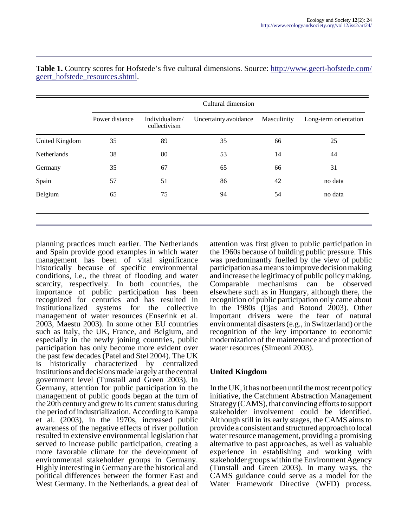|                    | Cultural dimension |                                |                       |             |                       |
|--------------------|--------------------|--------------------------------|-----------------------|-------------|-----------------------|
|                    | Power distance     | Individualism/<br>collectivism | Uncertainty avoidance | Masculinity | Long-term orientation |
| United Kingdom     | 35                 | 89                             | 35                    | 66          | 25                    |
| <b>Netherlands</b> | 38                 | 80                             | 53                    | 14          | 44                    |
| Germany            | 35                 | 67                             | 65                    | 66          | 31                    |
| Spain              | 57                 | 51                             | 86                    | 42          | no data               |
| Belgium            | 65                 | 75                             | 94                    | 54          | no data               |
|                    |                    |                                |                       |             |                       |
|                    |                    |                                |                       |             |                       |

**Table 1.** Country scores for Hofstede's five cultural dimensions. Source: [http://www.geert-hofstede.com/](http://www.geert-hofstede.com/geert_hofstede_resources.shtml) [geert\\_hofstede\\_resources.shtml.](http://www.geert-hofstede.com/geert_hofstede_resources.shtml)

planning practices much earlier. The Netherlands and Spain provide good examples in which water management has been of vital significance historically because of specific environmental conditions, i.e., the threat of flooding and water scarcity, respectively. In both countries, the importance of public participation has been recognized for centuries and has resulted in institutionalized systems for the collective management of water resources (Enserink et al. 2003, Maestu 2003). In some other EU countries such as Italy, the UK, France, and Belgium, and especially in the newly joining countries, public participation has only become more evident over the past few decades (Patel and Stel 2004). The UK is historically characterized by centralized institutions and decisions made largely at the central government level (Tunstall and Green 2003). In Germany, attention for public participation in the management of public goods began at the turn of the 20th century and grew to its current status during the period of industrialization. According to Kampa et al. (2003), in the 1970s, increased public awareness of the negative effects of river pollution resulted in extensive environmental legislation that served to increase public participation, creating a more favorable climate for the development of environmental stakeholder groups in Germany. Highly interesting in Germany are the historical and political differences between the former East and West Germany. In the Netherlands, a great deal of attention was first given to public participation in the 1960s because of building public pressure. This was predominantly fuelled by the view of public participation as a means to improve decision making and increase the legitimacy of public policy making. Comparable mechanisms can be observed elsewhere such as in Hungary, although there, the recognition of public participation only came about in the 1980s (Ijjas and Botond 2003). Other important drivers were the fear of natural environmental disasters (e.g., in Switzerland) or the recognition of the key importance to economic modernization of the maintenance and protection of water resources (Simeoni 2003).

# **United Kingdom**

In the UK, it has not been until the most recent policy initiative, the Catchment Abstraction Management Strategy (CAMS), that convincing efforts to support stakeholder involvement could be identified. Although still in its early stages, the CAMS aims to provide a consistent and structured approach to local water resource management, providing a promising alternative to past approaches, as well as valuable experience in establishing and working with stakeholder groups within the Environment Agency (Tunstall and Green 2003). In many ways, the CAMS guidance could serve as a model for the Water Framework Directive (WFD) process.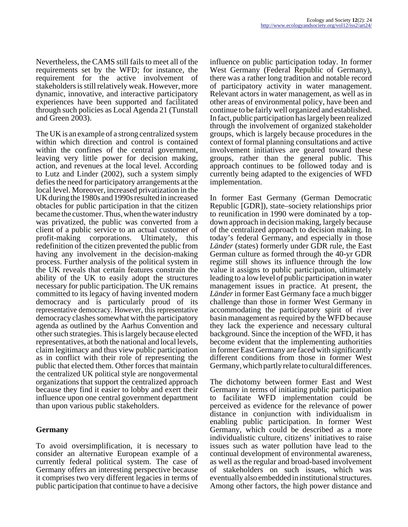Nevertheless, the CAMS still fails to meet all of the requirements set by the WFD; for instance, the requirement for the active involvement of stakeholders is still relatively weak. However, more dynamic, innovative, and interactive participatory experiences have been supported and facilitated through such policies as Local Agenda 21 (Tunstall and Green 2003).

The UK is an example of a strong centralized system within which direction and control is contained within the confines of the central government, leaving very little power for decision making, action, and revenues at the local level. According to Lutz and Linder (2002), such a system simply defies the need for participatory arrangements at the local level. Moreover, increased privatization in the UK during the 1980s and 1990s resulted in increased obtacles for public participation in that the citizen became the customer. Thus, when the water industry was privatized, the public was converted from a client of a public service to an actual customer of profit-making corporations. Ultimately, this redefinition of the citizen prevented the public from having any involvement in the decision-making process. Further analysis of the political system in the UK reveals that certain features constrain the ability of the UK to easily adopt the structures necessary for public participation. The UK remains committed to its legacy of having invented modern democracy and is particularly proud of its representative democracy. However, this representative democracy clashes somewhat with the participatory agenda as outlined by the Aarhus Convention and other such strategies. This is largely because elected representatives, at both the national and local levels, claim legitimacy and thus view public participation as in conflict with their role of representing the public that elected them. Other forces that maintain the centralized UK political style are nongovermental organizations that support the centralized approach because they find it easier to lobby and exert their influence upon one central government department than upon various public stakeholders.

# **Germany**

To avoid oversimplification, it is necessary to consider an alternative European example of a currently federal political system. The case of Germany offers an interesting perspective because it comprises two very different legacies in terms of public participation that continue to have a decisive

influence on public participation today. In former West Germany (Federal Republic of Germany), there was a rather long tradition and notable record of participatory activity in water management. Relevant actors in water management, as well as in other areas of environmental policy, have been and continue to be fairly well organized and established. In fact, public participation has largely been realized through the involvement of organized stakeholder groups, which is largely because procedures in the context of formal planning consultations and active involvement initiatives are geared toward these groups, rather than the general public. This approach continues to be followed today and is currently being adapted to the exigencies of WFD implementation.

In former East Germany (German Democratic Republic [GDR]), state–society relationships prior to reunification in 1990 were dominated by a topdown approach in decision making, largely because of the centralized approach to decision making. In today's federal Germany, and especially in those *Länder* (states) formerly under GDR rule, the East German culture as formed through the 40-yr GDR regime still shows its influence through the low value it assigns to public participation, ultimately leading to a low level of public participation in water management issues in practice. At present, the *Länder* in former East Germany face a much bigger challenge than those in former West Germany in accommodating the participatory spirit of river basin management as required by the WFD because they lack the experience and necessary cultural background. Since the inception of the WFD, it has become evident that the implementing authorities in former East Germany are faced with significantly different conditions from those in former West Germany, which partly relate to cultural differences.

The dichotomy between former East and West Germany in terms of initiating public participation facilitate WFD implementation could be perceived as evidence for the relevance of power distance in conjunction with individualism in enabling public participation. In former West Germany, which could be described as a more individualistic culture, citizens' initiatives to raise issues such as water pollution have lead to the continual development of environmental awareness, as well as the regular and broad-based involvement of stakeholders on such issues, which was eventually also embedded in institutional structures. Among other factors, the high power distance and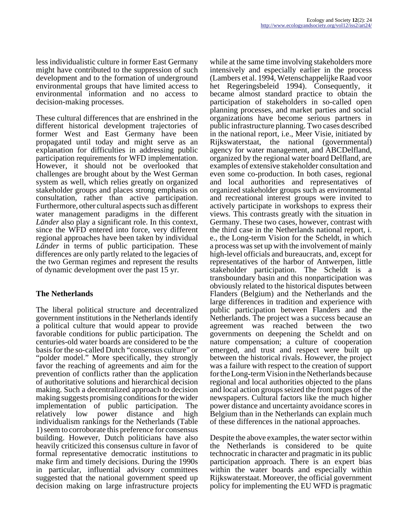less individualistic culture in former East Germany might have contributed to the suppression of such development and to the formation of underground environmental groups that have limited access to environmental information and no access to decision-making processes.

These cultural differences that are enshrined in the different historical development trajectories of former West and East Germany have been propagated until today and might serve as an explanation for difficulties in addressing public participation requirements for WFD implementation. However, it should not be overlooked that challenges are brought about by the West German system as well, which relies greatly on organized stakeholder groups and places strong emphasis on consultation, rather than active participation. Furthermore, other cultural aspects such as different water management paradigms in the different *Länder* also play a significant role. In this context, since the WFD entered into force, very different regional approaches have been taken by individual *Länder* in terms of public participation. These differences are only partly related to the legacies of the two German regimes and represent the results of dynamic development over the past 15 yr.

# **The Netherlands**

The liberal political structure and decentralized government institutions in the Netherlands identify a political culture that would appear to provide favorable conditions for public participation. The centuries-old water boards are considered to be the basis for the so-called Dutch "consensus culture" or "polder model." More specifically, they strongly favor the reaching of agreements and aim for the prevention of conflicts rather than the application of authoritative solutions and hierarchical decision making. Such a decentralized approach to decision making suggests promising conditions for the wider implementation of public participation. The relatively low power distance and high individualism rankings for the Netherlands (Table 1) seem to corroborate this preference for consensus building. However, Dutch politicians have also heavily criticized this consensus culture in favor of formal representative democratic institutions to make firm and timely decisions. During the 1990s in particular, influential advisory committees suggested that the national government speed up decision making on large infrastructure projects

while at the same time involving stakeholders more intensively and especially earlier in the process (Lambers et al. 1994, Wetenschappelijke Raad voor het Regeringsbeleid 1994). Consequently, it became almost standard practice to obtain the participation of stakeholders in so-called open planning processes, and market parties and social organizations have become serious partners in public infrastructure planning. Two cases described in the national report, i.e., Meer Visie, initiated by Rijkswaterstaat, the national (governmental) agency for water management, and ABCDelfland, organized by the regional water board Delfland, are examples of extensive stakeholder consultation and even some co-production. In both cases, regional and local authorities and representatives of organized stakeholder groups such as environmental and recreational interest groups were invited to actively participate in workshops to express their views. This contrasts greatly with the situation in Germany. These two cases, however, contrast with the third case in the Netherlands national report, i. e., the Long-term Vision for the Scheldt, in which a process was set up with the involvement of mainly high-level officials and bureaucrats, and, except for representatives of the harbor of Antwerpen, little stakeholder participation. The Scheldt is a transboundary basin and this nonparticipation was obviously related to the historical disputes between Flanders (Belgium) and the Netherlands and the large differences in tradition and experience with public participation between Flanders and the Netherlands. The project was a success because an agreement was reached between the two governments on deepening the Scheldt and on nature compensation; a culture of cooperation emerged, and trust and respect were built up between the historical rivals. However, the project was a failure with respect to the creation of support for the Long-term Vision in the Netherlands because regional and local authorities objected to the plans and local action groups seized the front pages of the newspapers. Cultural factors like the much higher power distance and uncertainty avoidance scores in Belgium than in the Netherlands can explain much of these differences in the national approaches.

Despite the above examples, the water sector within the Netherlands is considered to be quite technocratic in character and pragmatic in its public participation approach. There is an expert bias within the water boards and especially within Rijkswaterstaat. Moreover, the official government policy for implementing the EU WFD is pragmatic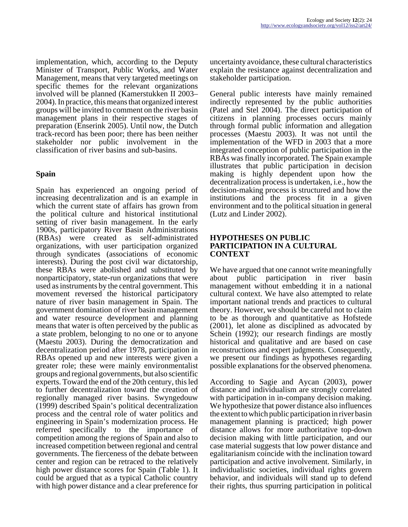implementation, which, according to the Deputy Minister of Transport, Public Works, and Water Management, means that very targeted meetings on specific themes for the relevant organizations involved will be planned (Kamerstukken II 2003– 2004). In practice, this means that organized interest groups will be invited to comment on the river basin management plans in their respective stages of preparation (Enserink 2005). Until now, the Dutch track-record has been poor; there has been neither stakeholder nor public involvement in the classification of river basins and sub-basins.

# **Spain**

Spain has experienced an ongoing period of increasing decentralization and is an example in which the current state of affairs has grown from the political culture and historical institutional setting of river basin management. In the early 1900s, participatory River Basin Administrations (RBAs) were created as self-administrated organizations, with user participation organized through syndicates (associations of economic interests). During the post civil war dictatorship, these RBAs were abolished and substituted by nonparticipatory, state-run organizations that were used as instruments by the central government. This movement reversed the historical participatory nature of river basin management in Spain. The government domination of river basin management and water resource development and planning means that water is often perceived by the public as a state problem, belonging to no one or to anyone (Maestu 2003). During the democratization and decentralization period after 1978, participation in RBAs opened up and new interests were given a greater role; these were mainly environmentalist groups and regional governments, but also scientific experts. Toward the end of the 20th century, this led to further decentralization toward the creation of regionally managed river basins. Swyngedouw (1999) described Spain's political decentralization process and the central role of water politics and engineering in Spain's modernization process. He referred specifically to the importance of competition among the regions of Spain and also to increased competition between regional and central governments. The fierceness of the debate between center and region can be retraced to the relatively high power distance scores for Spain (Table 1). It could be argued that as a typical Catholic country with high power distance and a clear preference for

uncertainty avoidance, these cultural characteristics explain the resistance against decentralization and stakeholder participation.

General public interests have mainly remained indirectly represented by the public authorities (Patel and Stel 2004). The direct participation of citizens in planning processes occurs mainly through formal public information and allegation processes (Maestu 2003). It was not until the implementation of the WFD in 2003 that a more integrated conception of public participation in the RBAs was finally incorporated. The Spain example illustrates that public participation in decision making is highly dependent upon how the decentralization process is undertaken, i.e., how the decision-making process is structured and how the institutions and the process fit in a given environment and to the political situation in general (Lutz and Linder 2002).

# **HYPOTHESES ON PUBLIC PARTICIPATION IN A CULTURAL CONTEXT**

We have argued that one cannot write meaningfully about public participation in river basin management without embedding it in a national cultural context. We have also attempted to relate important national trends and practices to cultural theory. However, we should be careful not to claim to be as thorough and quantitative as Hofstede (2001), let alone as disciplined as advocated by Schein (1992); our research findings are mostly historical and qualitative and are based on case reconstructions and expert judgments. Consequently, we present our findings as hypotheses regarding possible explanations for the observed phenomena.

According to Sagie and Aycan (2003), power distance and individualism are strongly correlated with participation in in-company decision making. We hypothesize that power distance also influences the extent to which public participation in river basin management planning is practiced; high power distance allows for more authoritative top-down decision making with little participation, and our case material suggests that low power distance and egalitarianism coincide with the inclination toward participation and active involvement. Similarly, in individualistic societies, individual rights govern behavior, and individuals will stand up to defend their rights, thus spurring participation in political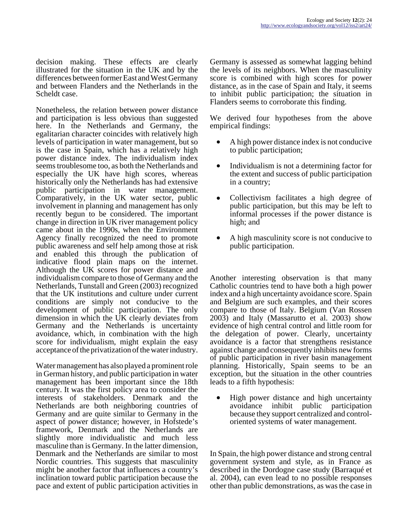decision making. These effects are clearly illustrated for the situation in the UK and by the differences between former East and West Germany and between Flanders and the Netherlands in the Scheldt case.

Nonetheless, the relation between power distance and participation is less obvious than suggested here. In the Netherlands and Germany, the egalitarian character coincides with relatively high levels of participation in water management, but so is the case in Spain, which has a relatively high power distance index. The individualism index seems troublesome too, as both the Netherlands and especially the UK have high scores, whereas historically only the Netherlands has had extensive public participation in water management. Comparatively, in the UK water sector, public involvement in planning and management has only recently begun to be considered. The important change in direction in UK river management policy came about in the 1990s, when the Environment Agency finally recognized the need to promote public awareness and self help among those at risk and enabled this through the publication of indicative flood plain maps on the internet. Although the UK scores for power distance and individualism compare to those of Germany and the Netherlands, Tunstall and Green (2003) recognized that the UK institutions and culture under current conditions are simply not conducive to the development of public participation. The only dimension in which the UK clearly deviates from Germany and the Netherlands is uncertainty avoidance, which, in combination with the high score for individualism, might explain the easy acceptance of the privatization of the water industry.

Water management has also played a prominent role in German history, and public participation in water management has been important since the 18th century. It was the first policy area to consider the interests of stakeholders. Denmark and the Netherlands are both neighboring countries of Germany and are quite similar to Germany in the aspect of power distance; however, in Hofstede's framework, Denmark and the Netherlands are slightly more individualistic and much less masculine than is Germany. In the latter dimension, Denmark and the Netherlands are similar to most Nordic countries. This suggests that masculinity might be another factor that influences a country's inclination toward public participation because the pace and extent of public participation activities in

Germany is assessed as somewhat lagging behind the levels of its neighbors. When the masculinity score is combined with high scores for power distance, as in the case of Spain and Italy, it seems to inhibit public participation; the situation in Flanders seems to corroborate this finding.

We derived four hypotheses from the above empirical findings:

- A high power distance index is not conducive to public participation;
- Individualism is not a determining factor for the extent and success of public participation in a country;
- Collectivism facilitates a high degree of public participation, but this may be left to informal processes if the power distance is high; and
- A high masculinity score is not conducive to public participation.

Another interesting observation is that many Catholic countries tend to have both a high power index and a high uncertainty avoidance score. Spain and Belgium are such examples, and their scores compare to those of Italy. Belgium (Van Rossen 2003) and Italy (Massarutto et al. 2003) show evidence of high central control and little room for the delegation of power. Clearly, uncertainty avoidance is a factor that strengthens resistance against change and consequently inhibits new forms of public participation in river basin management planning. Historically, Spain seems to be an exception, but the situation in the other countries leads to a fifth hypothesis:

High power distance and high uncertainty avoidance inhibit public participation because they support centralized and controloriented systems of water management.

In Spain, the high power distance and strong central government system and style, as in France as described in the Dordogne case study (Barraqué et al. 2004), can even lead to no possible responses other than public demonstrations, as was the case in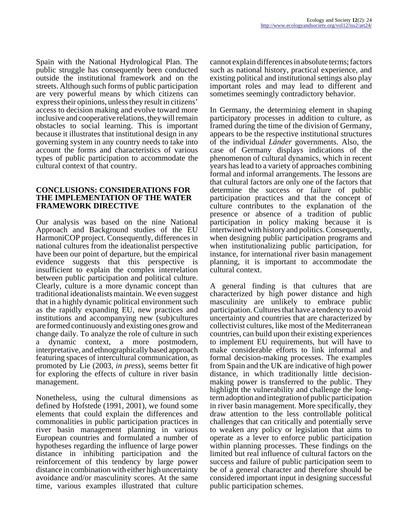Spain with the National Hydrological Plan. The public struggle has consequently been conducted outside the institutional framework and on the streets. Although such forms of public participation are very powerful means by which citizens can express their opinions, unless they result in citizens' access to decision making and evolve toward more inclusive and cooperative relations, they will remain obstacles to social learning. This is important because it illustrates that institutional design in any governing system in any country needs to take into account the forms and characteristics of various types of public participation to accommodate the cultural context of that country.

#### **CONCLUSIONS: CONSIDERATIONS FOR THE IMPLEMENTATION OF THE WATER FRAMEWORK DIRECTIVE**

Our analysis was based on the nine National Approach and Background studies of the EU HarmoniCOP project. Consequently, differences in national cultures from the ideationalist perspective have been our point of departure, but the empirical evidence suggests that this perspective is insufficient to explain the complex interrelation between public participation and political culture. Clearly, culture is a more dynamic concept than traditional ideationalists maintain. We even suggest that in a highly dynamic political environment such as the rapidly expanding EU, new practices and institutions and accompanying new (sub)cultures are formed continuously and existing ones grow and change daily. To analyze the role of culture in such a dynamic context, a more postmodern, interpretative, and ethnographically based approach featuring spaces of intercultural communication, as promoted by Lie (2003, *in press*), seems better fit for exploring the effects of culture in river basin management.

Nonetheless, using the cultural dimensions as defined by Hofstede (1991, 2001), we found some elements that could explain the differences and commonalities in public participation practices in river basin management planning in various European countries and formulated a number of hypotheses regarding the influence of large power distance in inhibiting participation and the reinforcement of this tendency by large power distance in combination with either high uncertainty avoidance and/or masculinity scores. At the same time, various examples illustrated that culture

cannot explain differences in absolute terms; factors such as national history, practical experience, and existing political and institutional settings also play important roles and may lead to different and sometimes seemingly contradictory behavior.

In Germany, the determining element in shaping participatory processes in addition to culture, as framed during the time of the division of Germany, appears to be the respective institutional structures of the individual *Länder* governments. Also, the case of Germany displays indications of the phenomenon of cultural dynamics, which in recent years has lead to a variety of approaches combining formal and informal arrangements. The lessons are that cultural factors are only one of the factors that determine the success or failure of public participation practices and that the concept of culture contributes to the explanation of the presence or absence of a tradition of public participation in policy making because it is intertwined with history and politics. Consequently, when designing public participation programs and when institutionalizing public participation, for instance, for international river basin management planning, it is important to accommodate the cultural context.

A general finding is that cultures that are characterized by high power distance and high masculinity are unlikely to embrace public participation. Cultures that have a tendency to avoid uncertainty and countries that are characterized by collectivist cultures, like most of the Mediterranean countries, can build upon their existing experiences to implement EU requirements, but will have to make considerable efforts to link informal and formal decision-making processes. The examples from Spain and the UK are indicative of high power distance, in which traditionally little decisionmaking power is transferred to the public. They highlight the vulnerability and challenge the longterm adoption and integration of public participation in river basin management. More specifically, they draw attention to the less controllable political challenges that can critically and potentially serve to weaken any policy or legislation that aims to operate as a lever to enforce public participation within planning processes. These findings on the limited but real influence of cultural factors on the success and failure of public participation seem to be of a general character and therefore should be considered important input in designing successful public participation schemes.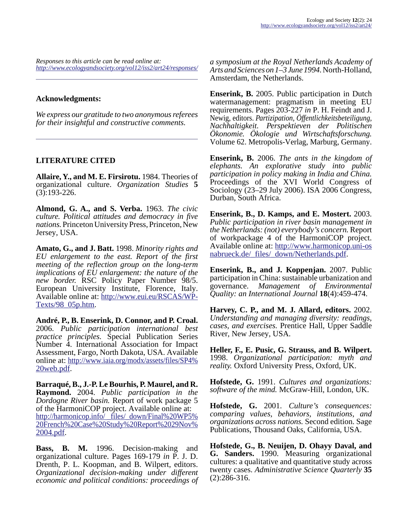*Responses to this article can be read online at: <http://www.ecologyandsociety.org/vol12/iss2/art24/responses/>*

#### **Acknowledgments:**

*We express our gratitude to two anonymous referees for their insightful and constructive comments.*

# **LITERATURE CITED**

**Allaire, Y., and M. E. Firsirotu.** 1984. Theories of organizational culture. *Organization Studies* **5** (3):193-226.

**Almond, G. A., and S. Verba.** 1963. *The civic culture. Political attitudes and democracy in five nations.* Princeton University Press, Princeton, New Jersey, USA.

**Amato, G., and J. Batt.** 1998. *Minority rights and EU enlargement to the east. Report of the first meeting of the reflection group on the long-term implications of EU enlargement: the nature of the new border.* RSC Policy Paper Number 98/5. European University Institute, Florence, Italy. Available online at: [http://www.eui.eu/RSCAS/WP-](http://www.eui.eu/RSCAS/WP-Texts/98_05p.htm)[Texts/98\\_05p.htm.](http://www.eui.eu/RSCAS/WP-Texts/98_05p.htm)

**André, P., B. Enserink, D. Connor, and P. Croal.** 2006. *Public participation international best practice principles.* Special Publication Series Number 4. International Association for Impact Assessment, Fargo, North Dakota, USA. Available online at: [http://www.iaia.org/modx/assets/files/SP4%](http://www.iaia.org/modx/assets/files/SP4%20web.pdf) [20web.pdf.](http://www.iaia.org/modx/assets/files/SP4%20web.pdf)

**Barraqué, B., J.-P. Le Bourhis, P. Maurel, and R. Raymond.** 2004. *Public participation in the Dordogne River basin.* Report of work package 5 of the HarmoniCOP project. Available online at: http://harmonicop.info/ files/ down/Final%20WP5% [20French%20Case%20Study%20Report%2029Nov%](http://harmonicop.info/_files/_down/Final%20WP5%20French%20Case%20Study%20Report%2029Nov%2004.pdf) [2004.pdf.](http://harmonicop.info/_files/_down/Final%20WP5%20French%20Case%20Study%20Report%2029Nov%2004.pdf)

**Bass, B. M.** 1996. Decision-making and organizational culture. Pages 169-179 *in* P. J. D. Drenth, P. L. Koopman, and B. Wilpert, editors. *Organizational decision-making under different economic and political conditions: proceedings of* *a symposium at the Royal Netherlands Academy of Arts and Sciences on 1–3 June 1994.* North-Holland, Amsterdam, the Netherlands.

**Enserink, B.** 2005. Public participation in Dutch watermanagement: pragmatism in meeting EU requirements. Pages 203-227 *in* P. H. Feindt and J. Newig, editors. *Partizipation, Öffentlichkeitsbeteiligung, Nachhaltigkeit. Perspektieven der Politischen Ökonomie. Ökologie und Wirtschaftsforschung.* Volume 62. Metropolis-Verlag, Marburg, Germany.

**Enserink, B.** 2006. *The ants in the kingdom of elephants. An explorative study into public participation in policy making in India and China.* Proceedings of the XVI World Congress of Sociology (23–29 July 2006). ISA 2006 Congress, Durban, South Africa.

**Enserink, B., D. Kamps, and E. Mostert.** 2003. *Public participation in river basin management in the Netherlands: (not) everybody's concern.* Report of workpackage 4 of the HarmoniCOP project. Available online at: [http://www.harmonicop.uni-os](http://www.harmonicop.uni-osnabrueck.de/_files/_down/Netherlands.pdf) [nabrueck.de/\\_files/\\_down/Netherlands.pdf.](http://www.harmonicop.uni-osnabrueck.de/_files/_down/Netherlands.pdf)

**Enserink, B., and J. Koppenjan.** 2007. Public participation in China: sustainable urbanization and governance. *Management of Environmental Quality: an International Journal* **18**(4):459-474.

**Harvey, C. P., and M. J. Allard, editors.** 2002. *Understanding and managing diversity: readings, cases, and exercises.* Prentice Hall, Upper Saddle River, New Jersey, USA.

**Heller, F., E. Pusic, G. Strauss, and B. Wilpert.** 1998. *Organizational participation: myth and reality.* Oxford University Press, Oxford, UK.

**Hofstede, G.** 1991. *Cultures and organizations: software of the mind.* McGraw-Hill, London, UK.

**Hofstede, G.** 2001. *Culture's consequences: comparing values, behaviors, institutions, and organizations across nations.* Second edition. Sage Publications, Thousand Oaks, California, USA.

**Hofstede, G., B. Neuijen, D. Ohayy Daval, and G. Sanders.** 1990. Measuring organizational cultures: a qualitative and quantitative study across twenty cases. *Administrative Science Quarterly* **35** (2):286-316.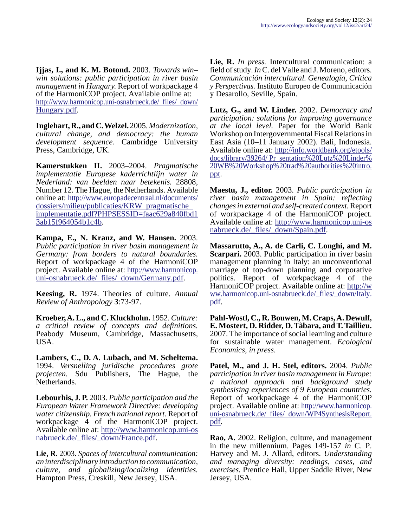**Ijjas, I., and K. M. Botond.** 2003. *Towards win– win solutions: public participation in river basin management in Hungary.* Report of workpackage 4 of the HarmoniCOP project. Available online at: [http://www.harmonicop.uni-osnabrueck.de/\\_files/\\_down/](http://www.harmonicop.uni-osnabrueck.de/_files/_down/Hungary.pdf) [Hungary.pdf.](http://www.harmonicop.uni-osnabrueck.de/_files/_down/Hungary.pdf)

**Inglehart, R., and C. Welzel.** 2005. *Modernization, cultural change, and democracy: the human development sequence.* Cambridge University Press, Cambridge, UK.

**Kamerstukken II.** 2003–2004. *Pragmatische implementatie Europese kaderrichtlijn water in Nederland: van beelden naar betekenis.* 28808, Number 12. The Hague, the Netherlands. Available online at: [http://www.europadecentraal.nl/documents/](http://www.europadecentraal.nl/documents/dossiers/milieu/publicaties/KRW_pragmatische_implementatie.pdf?PHPSESSID=faac629a840fbd13ab15f964054b1c4b) [dossiers/milieu/publicaties/KRW\\_pragmatische\\_](http://www.europadecentraal.nl/documents/dossiers/milieu/publicaties/KRW_pragmatische_implementatie.pdf?PHPSESSID=faac629a840fbd13ab15f964054b1c4b) [implementatie.pdf?PHPSESSID=faac629a840fbd1](http://www.europadecentraal.nl/documents/dossiers/milieu/publicaties/KRW_pragmatische_implementatie.pdf?PHPSESSID=faac629a840fbd13ab15f964054b1c4b) [3ab15f964054b1c4b.](http://www.europadecentraal.nl/documents/dossiers/milieu/publicaties/KRW_pragmatische_implementatie.pdf?PHPSESSID=faac629a840fbd13ab15f964054b1c4b)

**Kampa, E., N. Kranz, and W. Hansen.** 2003. *Public participation in river basin management in Germany: from borders to natural boundaries.* Report of workpackage 4 of the HarmoniCOP project. Available online at: [http://www.harmonicop.](http://www.harmonicop.uni-osnabrueck.de/_files/_down/Germany.pdf) [uni-osnabrueck.de/\\_files/\\_down/Germany.pdf](http://www.harmonicop.uni-osnabrueck.de/_files/_down/Germany.pdf).

**Keesing, R.** 1974. Theories of culture. *Annual Review of Anthropology* **3**:73-97.

**Kroeber, A. L., and C. Kluckhohn.** 1952. *Culture: a critical review of concepts and definitions.* Peabody Museum, Cambridge, Massachusetts, USA.

**Lambers, C., D. A. Lubach, and M. Scheltema.** 1994. *Versnelling juridische procedures grote projecten.* Sdu Publishers, The Hague, the Netherlands.

**Lebourhis, J. P.** 2003. *Public participation and the European Water Framework Directive: developing water citizenship. French national report.* Report of workpackage 4 of the HarmoniCOP project. Available online at: [http://www.harmonicop.uni-os](http://www.harmonicop.uni-osnabrueck.de/_files/_down/France.pdf) [nabrueck.de/\\_files/\\_down/France.pdf](http://www.harmonicop.uni-osnabrueck.de/_files/_down/France.pdf).

**Lie, R.** 2003. *Spaces of intercultural communication: an interdisciplinary introduction to communication, culture, and globalizing/localizing identities.* Hampton Press, Creskill, New Jersey, USA.

**Lie, R.** *In press.* Intercultural communication: a field of study. *In* C. del Valle and J. Moreno, editors. *Communicación intercultural. Genealogía, Crítica y Perspectivas.* Instituto Europeo de Communicación y Desarollo, Seville, Spain.

**Lutz, G., and W. Linder.** 2002. *Democracy and participation: solutions for improving governance at the local level.* Paper for the World Bank Workshop on Intergovernmental Fiscal Relations in East Asia (10–11 January 2002). Bali, Indonesia. Available online at: [http://info.worldbank.org/etools/](http://info.worldbank.org/etools/docs/library/39264/Pr_sentation%20Lutz%20Linder%20WB%20Workshop%20trad%20authorities%20intro.ppt) [docs/library/39264/ Pr\\_sentation%20Lutz%20Linder%](http://info.worldbank.org/etools/docs/library/39264/Pr_sentation%20Lutz%20Linder%20WB%20Workshop%20trad%20authorities%20intro.ppt) 20WB%20Workshop%20trad%20authorities%20intro. [ppt](http://info.worldbank.org/etools/docs/library/39264/Pr_sentation%20Lutz%20Linder%20WB%20Workshop%20trad%20authorities%20intro.ppt).

**Maestu, J., editor.** 2003. *Public participation in river basin management in Spain: reflecting changes in external and self-created context.* Report of workpackage 4 of the HarmoniCOP project. Available online at: [http://www.harmonicop.uni-os](http://www.harmonicop.uni-osnabrueck.de/_files/_down/Spain.pdf) [nabrueck.de/\\_files/\\_down/Spain.pdf.](http://www.harmonicop.uni-osnabrueck.de/_files/_down/Spain.pdf)

**Massarutto, A., A. de Carli, C. Longhi, and M. Scarpari.** 2003. Public participation in river basin management planning in Italy: an unconventional marriage of top-down planning and corporative politics. Report of workpackage 4 of the HarmoniCOP project. Available online at: [http://w](http://www.harmonicop.uni-osnabrueck.de/_files/_down/Italy.pdf) ww.harmonicop.uni-osnabrueck.de/\_files/\_down/Italy. [pdf.](http://www.harmonicop.uni-osnabrueck.de/_files/_down/Italy.pdf)

**Pahl-Wostl, C., R. Bouwen, M. Craps, A. Dewulf, E. Mostert, D. Ridder, D. Tàbara, and T. Taillieu.** 2007. The importance of social learning and culture for sustainable water management. *Ecological Economics, in press*.

**Patel, M., and J. H. Stel, editors.** 2004. *Public participation in river basin management in Europe: a national approach and background study synthesising experiences of 9 European countries.* Report of workpackage 4 of the HarmoniCOP project. Available online at: [http://www.harmonicop.](http://www.harmonicop.uni-osnabrueck.de/_files/_down/WP4SynthesisReport.pdf) uni-osnabrueck.de/\_files/\_down/WP4SynthesisReport. [pdf.](http://www.harmonicop.uni-osnabrueck.de/_files/_down/WP4SynthesisReport.pdf)

**Rao, A.** 2002. Religion, culture, and management in the new millennium. Pages 149-157 *in* C. P. Harvey and M. J. Allard, editors. *Understanding and managing diversity: readings, cases, and exercises.* Prentice Hall, Upper Saddle River, New Jersey, USA.